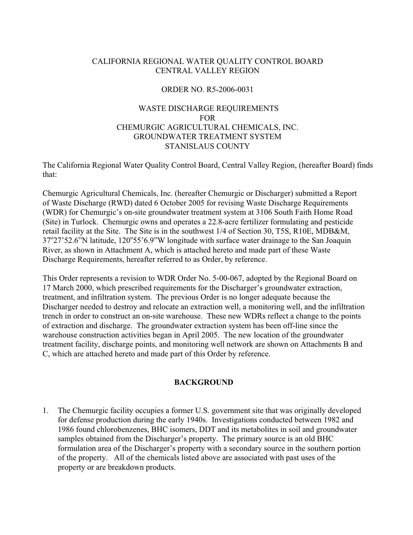# CALIFORNIA REGIONAL WATER QUALITY CONTROL BOARD CENTRAL VALLEY REGION

## ORDER NO. R5-2006-0031

# WASTE DISCHARGE REQUIREMENTS FOR CHEMURGIC AGRICULTURAL CHEMICALS, INC. GROUNDWATER TREATMENT SYSTEM STANISLAUS COUNTY

The California Regional Water Quality Control Board, Central Valley Region, (hereafter Board) finds that:

Chemurgic Agricultural Chemicals, Inc. (hereafter Chemurgic or Discharger) submitted a Report of Waste Discharge (RWD) dated 6 October 2005 for revising Waste Discharge Requirements (WDR) for Chemurgic's on-site groundwater treatment system at 3106 South Faith Home Road (Site) in Turlock. Chemurgic owns and operates a 22.8-acre fertilizer formulating and pesticide retail facility at the Site. The Site is in the southwest 1/4 of Section 30, T5S, R10E, MDB&M, 37°27'52.6"N latitude, 120°55'6.9"W longitude with surface water drainage to the San Joaquin River, as shown in Attachment A, which is attached hereto and made part of these Waste Discharge Requirements, hereafter referred to as Order, by reference.

This Order represents a revision to WDR Order No. 5-00-067, adopted by the Regional Board on 17 March 2000, which prescribed requirements for the Discharger's groundwater extraction, treatment, and infiltration system. The previous Order is no longer adequate because the Discharger needed to destroy and relocate an extraction well, a monitoring well, and the infiltration trench in order to construct an on-site warehouse. These new WDRs reflect a change to the points of extraction and discharge. The groundwater extraction system has been off-line since the warehouse construction activities began in April 2005. The new location of the groundwater treatment facility, discharge points, and monitoring well network are shown on Attachments B and C, which are attached hereto and made part of this Order by reference.

# **BACKGROUND**

1. The Chemurgic facility occupies a former U.S. government site that was originally developed for defense production during the early 1940s. Investigations conducted between 1982 and 1986 found chlorobenzenes, BHC isomers, DDT and its metabolites in soil and groundwater samples obtained from the Discharger's property. The primary source is an old BHC formulation area of the Discharger's property with a secondary source in the southern portion of the property. All of the chemicals listed above are associated with past uses of the property or are breakdown products.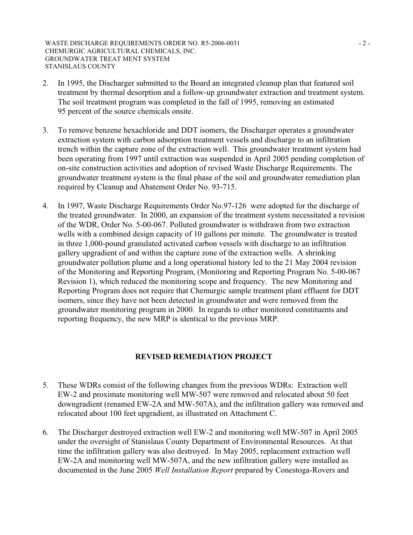WASTE DISCHARGE REQUIREMENTS ORDER NO. R5-2006-0031 - 2 -CHEMURGIC AGRICULTURAL CHEMICALS, INC. GROUNDWATER TREAT MENT SYSTEM STANISLAUS COUNTY

- 2. In 1995, the Discharger submitted to the Board an integrated cleanup plan that featured soil treatment by thermal desorption and a follow-up groundwater extraction and treatment system. The soil treatment program was completed in the fall of 1995, removing an estimated 95 percent of the source chemicals onsite.
- 3. To remove benzene hexachloride and DDT isomers, the Discharger operates a groundwater extraction system with carbon adsorption treatment vessels and discharge to an infiltration trench within the capture zone of the extraction well. This groundwater treatment system had been operating from 1997 until extraction was suspended in April 2005 pending completion of on-site construction activities and adoption of revised Waste Discharge Requirements. The groundwater treatment system is the final phase of the soil and groundwater remediation plan required by Cleanup and Abatement Order No. 93-715.
- 4. In 1997, Waste Discharge Requirements Order No.97-126 were adopted for the discharge of the treated groundwater. In 2000, an expansion of the treatment system necessitated a revision of the WDR, Order No. 5-00-067. Polluted groundwater is withdrawn from two extraction wells with a combined design capacity of 10 gallons per minute. The groundwater is treated in three 1,000-pound granulated activated carbon vessels with discharge to an infiltration gallery upgradient of and within the capture zone of the extraction wells. A shrinking groundwater pollution plume and a long operational history led to the 21 May 2004 revision of the Monitoring and Reporting Program, (Monitoring and Reporting Program No. 5-00-067 Revision 1), which reduced the monitoring scope and frequency. The new Monitoring and Reporting Program does not require that Chemurgic sample treatment plant effluent for DDT isomers, since they have not been detected in groundwater and were removed from the groundwater monitoring program in 2000. In regards to other monitored constituents and reporting frequency, the new MRP is identical to the previous MRP.

## **REVISED REMEDIATION PROJECT**

- 5. These WDRs consist of the following changes from the previous WDRs: Extraction well EW-2 and proximate monitoring well MW-507 were removed and relocated about 50 feet downgradient (renamed EW-2A and MW-507A), and the infiltration gallery was removed and relocated about 100 feet upgradient, as illustrated on Attachment C.
- 6. The Discharger destroyed extraction well EW-2 and monitoring well MW-507 in April 2005 under the oversight of Stanislaus County Department of Environmental Resources. At that time the infiltration gallery was also destroyed. In May 2005, replacement extraction well EW-2A and monitoring well MW-507A, and the new infiltration gallery were installed as documented in the June 2005 *Well Installation Report* prepared by Conestoga-Rovers and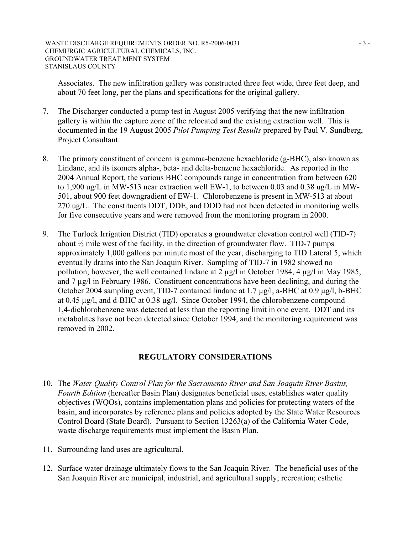Associates. The new infiltration gallery was constructed three feet wide, three feet deep, and about 70 feet long, per the plans and specifications for the original gallery.

- 7. The Discharger conducted a pump test in August 2005 verifying that the new infiltration gallery is within the capture zone of the relocated and the existing extraction well. This is documented in the 19 August 2005 *Pilot Pumping Test Results* prepared by Paul V. Sundberg, Project Consultant.
- 8. The primary constituent of concern is gamma-benzene hexachloride (g-BHC), also known as Lindane, and its isomers alpha-, beta- and delta-benzene hexachloride. As reported in the 2004 Annual Report, the various BHC compounds range in concentration from between 620 to 1,900 ug/L in MW-513 near extraction well EW-1, to between 0.03 and 0.38 ug/L in MW-501, about 900 feet downgradient of EW-1. Chlorobenzene is present in MW-513 at about 270 ug/L. The constituents DDT, DDE, and DDD had not been detected in monitoring wells for five consecutive years and were removed from the monitoring program in 2000.
- 9. The Turlock Irrigation District (TID) operates a groundwater elevation control well (TID-7) about  $\frac{1}{2}$  mile west of the facility, in the direction of groundwater flow. TID-7 pumps approximately 1,000 gallons per minute most of the year, discharging to TID Lateral 5, which eventually drains into the San Joaquin River. Sampling of TID-7 in 1982 showed no pollution; however, the well contained lindane at 2  $\mu$ g/l in October 1984, 4  $\mu$ g/l in May 1985, and 7 µg/l in February 1986. Constituent concentrations have been declining, and during the October 2004 sampling event, TID-7 contained lindane at 1.7  $\mu$ g/l, a-BHC at 0.9  $\mu$ g/l, b-BHC at 0.45  $\mu$ g/l, and d-BHC at 0.38  $\mu$ g/l. Since October 1994, the chlorobenzene compound 1,4-dichlorobenzene was detected at less than the reporting limit in one event. DDT and its metabolites have not been detected since October 1994, and the monitoring requirement was removed in 2002.

# **REGULATORY CONSIDERATIONS**

- 10. The *Water Quality Control Plan for the Sacramento River and San Joaquin River Basins, Fourth Edition* (hereafter Basin Plan) designates beneficial uses, establishes water quality objectives (WQOs), contains implementation plans and policies for protecting waters of the basin, and incorporates by reference plans and policies adopted by the State Water Resources Control Board (State Board). Pursuant to Section 13263(a) of the California Water Code, waste discharge requirements must implement the Basin Plan.
- 11. Surrounding land uses are agricultural.
- 12. Surface water drainage ultimately flows to the San Joaquin River. The beneficial uses of the San Joaquin River are municipal, industrial, and agricultural supply; recreation; esthetic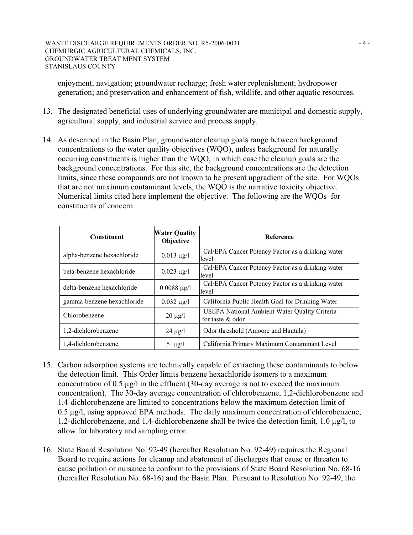enjoyment; navigation; groundwater recharge; fresh water replenishment; hydropower generation; and preservation and enhancement of fish, wildlife, and other aquatic resources.

- 13. The designated beneficial uses of underlying groundwater are municipal and domestic supply, agricultural supply, and industrial service and process supply.
- 14. As described in the Basin Plan, groundwater cleanup goals range between background concentrations to the water quality objectives (WQO), unless background for naturally occurring constituents is higher than the WQO, in which case the cleanup goals are the background concentrations. For this site, the background concentrations are the detection limits, since these compounds are not known to be present upgradient of the site. For WQOs that are not maximum contaminant levels, the WQO is the narrative toxicity objective. Numerical limits cited here implement the objective. The following are the WQOs for constituents of concern:

| <b>Constituent</b>         | <b>Water Quality</b><br>Objective | Reference                                                         |  |
|----------------------------|-----------------------------------|-------------------------------------------------------------------|--|
| alpha-benzene hexachloride | $0.013 \mu g/l$                   | Cal/EPA Cancer Potency Factor as a drinking water<br>llevel       |  |
| beta-benzene hexachloride  | $0.023 \mu g/l$                   | Cal/EPA Cancer Potency Factor as a drinking water<br>llevel       |  |
| delta-benzene hexachloride | $0.0088 \mu g/l$                  | Cal/EPA Cancer Potency Factor as a drinking water<br>llevel       |  |
| gamma-benzene hexachloride | $0.032 \mu g/l$                   | California Public Health Goal for Drinking Water                  |  |
| Chlorobenzene              | $20 \mu g/l$                      | USEPA National Ambient Water Quality Criteria<br>for taste & odor |  |
| 1,2-dichlorobenzene        | $24 \mu g/l$                      | Odor threshold (Amoore and Hautala)                               |  |
| 1,4-dichlorobenzene        | 5 $\mu$ g/l                       | California Primary Maximum Contaminant Level                      |  |

- 15. Carbon adsorption systems are technically capable of extracting these contaminants to below the detection limit. This Order limits benzene hexachloride isomers to a maximum concentration of 0.5  $\mu$ g/l in the effluent (30-day average is not to exceed the maximum concentration). The 30-day average concentration of chlorobenzene, 1,2-dichlorobenzene and 1,4-dichlorobenzene are limited to concentrations below the maximum detection limit of 0.5 µg/l, using approved EPA methods. The daily maximum concentration of chlorobenzene, 1,2-dichlorobenzene, and 1,4-dichlorobenzene shall be twice the detection limit, 1.0 µg/l, to allow for laboratory and sampling error.
- 16. State Board Resolution No. 92-49 (hereafter Resolution No. 92-49) requires the Regional Board to require actions for cleanup and abatement of discharges that cause or threaten to cause pollution or nuisance to conform to the provisions of State Board Resolution No. 68-16 (hereafter Resolution No. 68-16) and the Basin Plan. Pursuant to Resolution No. 92-49, the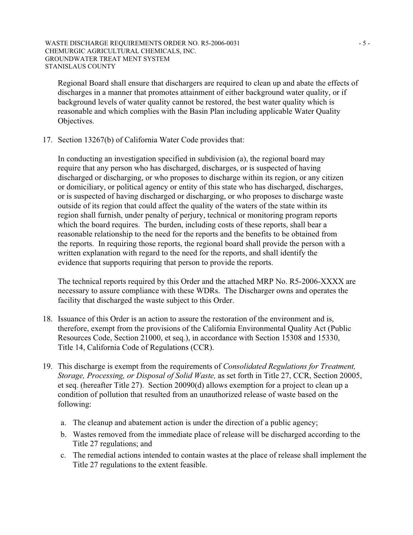#### WASTE DISCHARGE REQUIREMENTS ORDER NO. R5-2006-0031 - 5 -CHEMURGIC AGRICULTURAL CHEMICALS, INC. GROUNDWATER TREAT MENT SYSTEM STANISLAUS COUNTY

Regional Board shall ensure that dischargers are required to clean up and abate the effects of discharges in a manner that promotes attainment of either background water quality, or if background levels of water quality cannot be restored, the best water quality which is reasonable and which complies with the Basin Plan including applicable Water Quality Objectives.

17. Section 13267(b) of California Water Code provides that:

 In conducting an investigation specified in subdivision (a), the regional board may require that any person who has discharged, discharges, or is suspected of having discharged or discharging, or who proposes to discharge within its region, or any citizen or domiciliary, or political agency or entity of this state who has discharged, discharges, or is suspected of having discharged or discharging, or who proposes to discharge waste outside of its region that could affect the quality of the waters of the state within its region shall furnish, under penalty of perjury, technical or monitoring program reports which the board requires. The burden, including costs of these reports, shall bear a reasonable relationship to the need for the reports and the benefits to be obtained from the reports. In requiring those reports, the regional board shall provide the person with a written explanation with regard to the need for the reports, and shall identify the evidence that supports requiring that person to provide the reports.

 The technical reports required by this Order and the attached MRP No. R5-2006-XXXX are necessary to assure compliance with these WDRs. The Discharger owns and operates the facility that discharged the waste subject to this Order.

- 18. Issuance of this Order is an action to assure the restoration of the environment and is, therefore, exempt from the provisions of the California Environmental Quality Act (Public Resources Code, Section 21000, et seq.), in accordance with Section 15308 and 15330, Title 14, California Code of Regulations (CCR).
- 19. This discharge is exempt from the requirements of *Consolidated Regulations for Treatment, Storage, Processing, or Disposal of Solid Waste,* as set forth in Title 27, CCR, Section 20005, et seq. (hereafter Title 27). Section 20090(d) allows exemption for a project to clean up a condition of pollution that resulted from an unauthorized release of waste based on the following:
	- a. The cleanup and abatement action is under the direction of a public agency;
	- b. Wastes removed from the immediate place of release will be discharged according to the Title 27 regulations; and
	- c. The remedial actions intended to contain wastes at the place of release shall implement the Title 27 regulations to the extent feasible.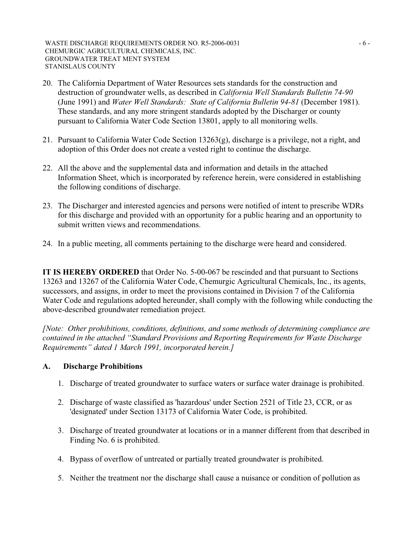WASTE DISCHARGE REQUIREMENTS ORDER NO. R5-2006-0031 - 6 -CHEMURGIC AGRICULTURAL CHEMICALS, INC. GROUNDWATER TREAT MENT SYSTEM STANISLAUS COUNTY

- 20. The California Department of Water Resources sets standards for the construction and destruction of groundwater wells, as described in *California Well Standards Bulletin 74-90* (June 1991) and *Water Well Standards: State of California Bulletin 94-81* (December 1981). These standards, and any more stringent standards adopted by the Discharger or county pursuant to California Water Code Section 13801, apply to all monitoring wells.
- 21. Pursuant to California Water Code Section 13263(g), discharge is a privilege, not a right, and adoption of this Order does not create a vested right to continue the discharge.
- 22. All the above and the supplemental data and information and details in the attached Information Sheet, which is incorporated by reference herein, were considered in establishing the following conditions of discharge.
- 23. The Discharger and interested agencies and persons were notified of intent to prescribe WDRs for this discharge and provided with an opportunity for a public hearing and an opportunity to submit written views and recommendations.
- 24. In a public meeting, all comments pertaining to the discharge were heard and considered.

**IT IS HEREBY ORDERED** that Order No. 5-00-067 be rescinded and that pursuant to Sections 13263 and 13267 of the California Water Code, Chemurgic Agricultural Chemicals, Inc., its agents, successors, and assigns, in order to meet the provisions contained in Division 7 of the California Water Code and regulations adopted hereunder, shall comply with the following while conducting the above-described groundwater remediation project.

*[Note: Other prohibitions, conditions, definitions, and some methods of determining compliance are contained in the attached "Standard Provisions and Reporting Requirements for Waste Discharge Requirements" dated 1 March 1991, incorporated herein.]* 

## **A. Discharge Prohibitions**

- 1. Discharge of treated groundwater to surface waters or surface water drainage is prohibited.
- 2. Discharge of waste classified as 'hazardous' under Section 2521 of Title 23, CCR, or as 'designated' under Section 13173 of California Water Code, is prohibited.
- 3. Discharge of treated groundwater at locations or in a manner different from that described in Finding No. 6 is prohibited.
- 4. Bypass of overflow of untreated or partially treated groundwater is prohibited.
- 5. Neither the treatment nor the discharge shall cause a nuisance or condition of pollution as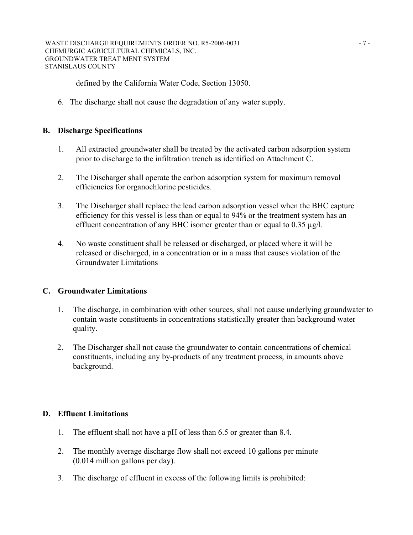defined by the California Water Code, Section 13050.

6. The discharge shall not cause the degradation of any water supply.

## **B. Discharge Specifications**

- 1. All extracted groundwater shall be treated by the activated carbon adsorption system prior to discharge to the infiltration trench as identified on Attachment C.
- 2. The Discharger shall operate the carbon adsorption system for maximum removal efficiencies for organochlorine pesticides.
- 3. The Discharger shall replace the lead carbon adsorption vessel when the BHC capture efficiency for this vessel is less than or equal to 94% or the treatment system has an effluent concentration of any BHC isomer greater than or equal to 0.35  $\mu$ g/l.
- 4. No waste constituent shall be released or discharged, or placed where it will be released or discharged, in a concentration or in a mass that causes violation of the Groundwater Limitations

## **C. Groundwater Limitations**

- 1. The discharge, in combination with other sources, shall not cause underlying groundwater to contain waste constituents in concentrations statistically greater than background water quality.
- 2. The Discharger shall not cause the groundwater to contain concentrations of chemical constituents, including any by-products of any treatment process, in amounts above background.

## **D. Effluent Limitations**

- 1. The effluent shall not have a pH of less than 6.5 or greater than 8.4.
- 2. The monthly average discharge flow shall not exceed 10 gallons per minute (0.014 million gallons per day).
- 3. The discharge of effluent in excess of the following limits is prohibited: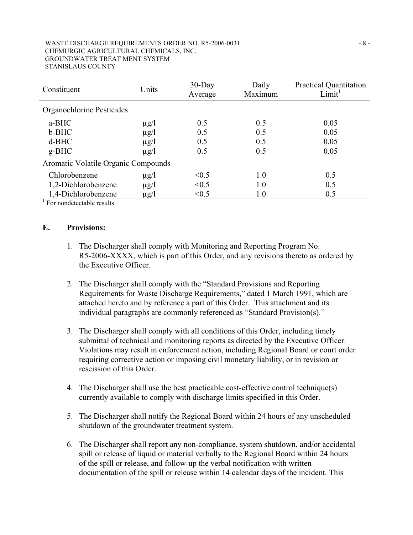#### WASTE DISCHARGE REQUIREMENTS ORDER NO. R5-2006-0031 - 8 -CHEMURGIC AGRICULTURAL CHEMICALS, INC. GROUNDWATER TREAT MENT SYSTEM STANISLAUS COUNTY

| Constituent                         | Units     | $30$ -Day<br>Average | Daily<br>Maximum | <b>Practical Quantitation</b><br>Limit <sup>1</sup> |  |  |
|-------------------------------------|-----------|----------------------|------------------|-----------------------------------------------------|--|--|
| Organochlorine Pesticides           |           |                      |                  |                                                     |  |  |
| a-BHC                               | $\mu$ g/l | 0.5                  | 0.5              | 0.05                                                |  |  |
| b-BHC                               | $\mu$ g/l | 0.5                  | 0.5              | 0.05                                                |  |  |
| $d-BHC$                             | $\mu$ g/l | 0.5                  | 0.5              | 0.05                                                |  |  |
| $g-BHC$                             | $\mu$ g/l | 0.5                  | 0.5              | 0.05                                                |  |  |
| Aromatic Volatile Organic Compounds |           |                      |                  |                                                     |  |  |
| Chlorobenzene                       | $\mu$ g/l | < 0.5                | 1.0              | 0.5                                                 |  |  |
| 1,2-Dichlorobenzene                 | $\mu$ g/l | < 0.5                | 1.0              | 0.5                                                 |  |  |
| 1,4-Dichlorobenzene                 | $\mu$ g/l | < 0.5                | 1.0              | 0.5                                                 |  |  |
| $E_{\alpha}$ nondata toble require  |           |                      |                  |                                                     |  |  |

 $\frac{1}{1}$  For nondetectable results

### **E. Provisions:**

- 1. The Discharger shall comply with Monitoring and Reporting Program No. R5-2006-XXXX, which is part of this Order, and any revisions thereto as ordered by the Executive Officer.
- 2. The Discharger shall comply with the "Standard Provisions and Reporting Requirements for Waste Discharge Requirements," dated 1 March 1991, which are attached hereto and by reference a part of this Order. This attachment and its individual paragraphs are commonly referenced as "Standard Provision(s)."
- 3. The Discharger shall comply with all conditions of this Order, including timely submittal of technical and monitoring reports as directed by the Executive Officer. Violations may result in enforcement action, including Regional Board or court order requiring corrective action or imposing civil monetary liability, or in revision or rescission of this Order.
- 4. The Discharger shall use the best practicable cost-effective control technique(s) currently available to comply with discharge limits specified in this Order.
- 5. The Discharger shall notify the Regional Board within 24 hours of any unscheduled shutdown of the groundwater treatment system.
- 6. The Discharger shall report any non-compliance, system shutdown, and/or accidental spill or release of liquid or material verbally to the Regional Board within 24 hours of the spill or release, and follow-up the verbal notification with written documentation of the spill or release within 14 calendar days of the incident. This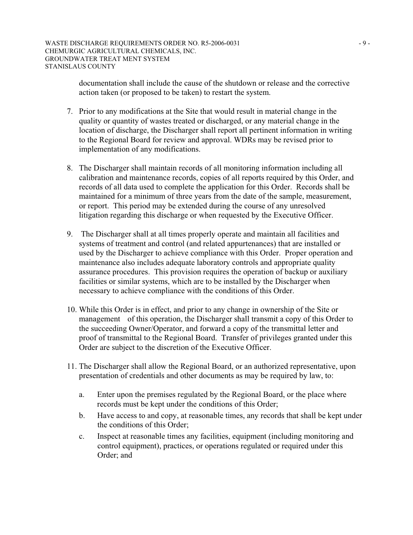documentation shall include the cause of the shutdown or release and the corrective action taken (or proposed to be taken) to restart the system.

- 7. Prior to any modifications at the Site that would result in material change in the quality or quantity of wastes treated or discharged, or any material change in the location of discharge, the Discharger shall report all pertinent information in writing to the Regional Board for review and approval. WDRs may be revised prior to implementation of any modifications.
- 8. The Discharger shall maintain records of all monitoring information including all calibration and maintenance records, copies of all reports required by this Order, and records of all data used to complete the application for this Order. Records shall be maintained for a minimum of three years from the date of the sample, measurement, or report. This period may be extended during the course of any unresolved litigation regarding this discharge or when requested by the Executive Officer.
- 9. The Discharger shall at all times properly operate and maintain all facilities and systems of treatment and control (and related appurtenances) that are installed or used by the Discharger to achieve compliance with this Order. Proper operation and maintenance also includes adequate laboratory controls and appropriate quality assurance procedures. This provision requires the operation of backup or auxiliary facilities or similar systems, which are to be installed by the Discharger when necessary to achieve compliance with the conditions of this Order.
- 10. While this Order is in effect, and prior to any change in ownership of the Site or management of this operation, the Discharger shall transmit a copy of this Order to the succeeding Owner/Operator, and forward a copy of the transmittal letter and proof of transmittal to the Regional Board. Transfer of privileges granted under this Order are subject to the discretion of the Executive Officer.
- 11. The Discharger shall allow the Regional Board, or an authorized representative, upon presentation of credentials and other documents as may be required by law, to:
	- a. Enter upon the premises regulated by the Regional Board, or the place where records must be kept under the conditions of this Order;
	- b. Have access to and copy, at reasonable times, any records that shall be kept under the conditions of this Order;
	- c. Inspect at reasonable times any facilities, equipment (including monitoring and control equipment), practices, or operations regulated or required under this Order; and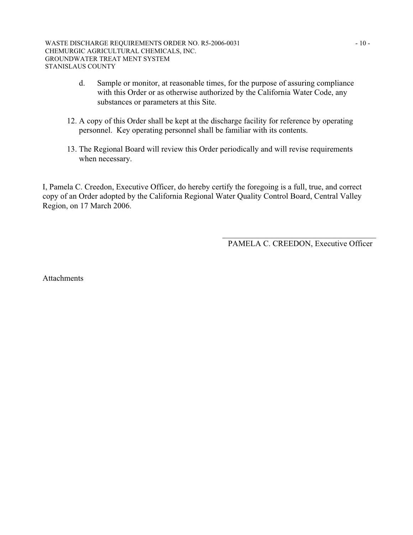- d. Sample or monitor, at reasonable times, for the purpose of assuring compliance with this Order or as otherwise authorized by the California Water Code, any substances or parameters at this Site.
- 12. A copy of this Order shall be kept at the discharge facility for reference by operating personnel. Key operating personnel shall be familiar with its contents.
- 13. The Regional Board will review this Order periodically and will revise requirements when necessary.

I, Pamela C. Creedon, Executive Officer, do hereby certify the foregoing is a full, true, and correct copy of an Order adopted by the California Regional Water Quality Control Board, Central Valley Region, on 17 March 2006.

> \_\_\_\_\_\_\_\_\_\_\_\_\_\_\_\_\_\_\_\_\_\_\_\_\_\_\_\_\_\_\_\_\_\_\_\_\_\_ PAMELA C. CREEDON, Executive Officer

Attachments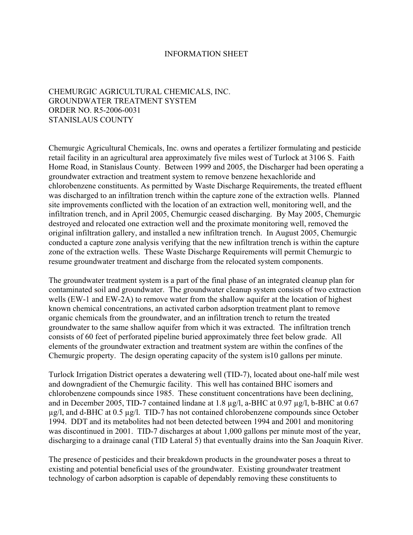### INFORMATION SHEET

# CHEMURGIC AGRICULTURAL CHEMICALS, INC. GROUNDWATER TREATMENT SYSTEM ORDER NO. R5-2006-0031 STANISLAUS COUNTY

Chemurgic Agricultural Chemicals, Inc. owns and operates a fertilizer formulating and pesticide retail facility in an agricultural area approximately five miles west of Turlock at 3106 S. Faith Home Road, in Stanislaus County. Between 1999 and 2005, the Discharger had been operating a groundwater extraction and treatment system to remove benzene hexachloride and chlorobenzene constituents. As permitted by Waste Discharge Requirements, the treated effluent was discharged to an infiltration trench within the capture zone of the extraction wells. Planned site improvements conflicted with the location of an extraction well, monitoring well, and the infiltration trench, and in April 2005, Chemurgic ceased discharging. By May 2005, Chemurgic destroyed and relocated one extraction well and the proximate monitoring well, removed the original infiltration gallery, and installed a new infiltration trench. In August 2005, Chemurgic conducted a capture zone analysis verifying that the new infiltration trench is within the capture zone of the extraction wells. These Waste Discharge Requirements will permit Chemurgic to resume groundwater treatment and discharge from the relocated system components.

The groundwater treatment system is a part of the final phase of an integrated cleanup plan for contaminated soil and groundwater. The groundwater cleanup system consists of two extraction wells (EW-1 and EW-2A) to remove water from the shallow aquifer at the location of highest known chemical concentrations, an activated carbon adsorption treatment plant to remove organic chemicals from the groundwater, and an infiltration trench to return the treated groundwater to the same shallow aquifer from which it was extracted. The infiltration trench consists of 60 feet of perforated pipeline buried approximately three feet below grade. All elements of the groundwater extraction and treatment system are within the confines of the Chemurgic property. The design operating capacity of the system is10 gallons per minute.

Turlock Irrigation District operates a dewatering well (TID-7), located about one-half mile west and downgradient of the Chemurgic facility. This well has contained BHC isomers and chlorobenzene compounds since 1985. These constituent concentrations have been declining, and in December 2005, TID-7 contained lindane at 1.8 µg/l, a-BHC at 0.97 µg/l, b-BHC at 0.67 µg/l, and d-BHC at 0.5 µg/l. TID-7 has not contained chlorobenzene compounds since October 1994. DDT and its metabolites had not been detected between 1994 and 2001 and monitoring was discontinued in 2001. TID-7 discharges at about 1,000 gallons per minute most of the year, discharging to a drainage canal (TID Lateral 5) that eventually drains into the San Joaquin River.

The presence of pesticides and their breakdown products in the groundwater poses a threat to existing and potential beneficial uses of the groundwater. Existing groundwater treatment technology of carbon adsorption is capable of dependably removing these constituents to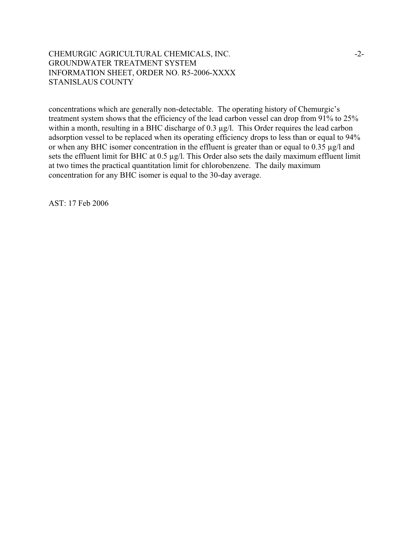## CHEMURGIC AGRICULTURAL CHEMICALS, INC. 42-GROUNDWATER TREATMENT SYSTEM INFORMATION SHEET, ORDER NO. R5-2006-XXXX STANISLAUS COUNTY

concentrations which are generally non-detectable. The operating history of Chemurgic's treatment system shows that the efficiency of the lead carbon vessel can drop from 91% to 25% within a month, resulting in a BHC discharge of 0.3  $\mu$ g/l. This Order requires the lead carbon adsorption vessel to be replaced when its operating efficiency drops to less than or equal to 94% or when any BHC isomer concentration in the effluent is greater than or equal to 0.35 µg/l and sets the effluent limit for BHC at 0.5 µg/l. This Order also sets the daily maximum effluent limit at two times the practical quantitation limit for chlorobenzene. The daily maximum concentration for any BHC isomer is equal to the 30-day average.

AST: 17 Feb 2006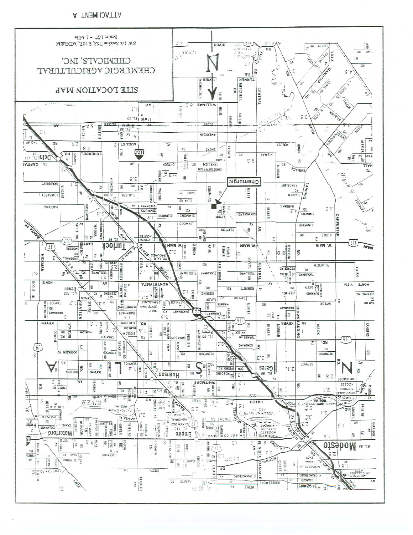A TWEMHOATTA

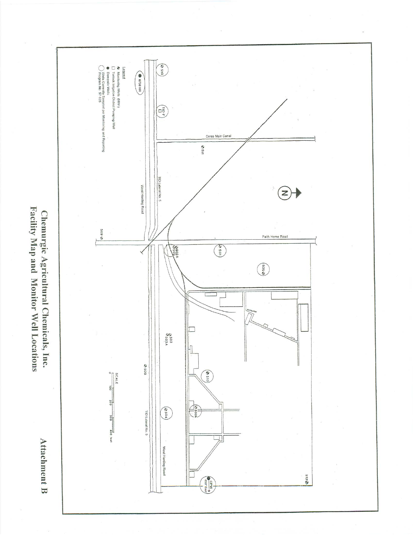

Facility Map and Monitor Well Locations